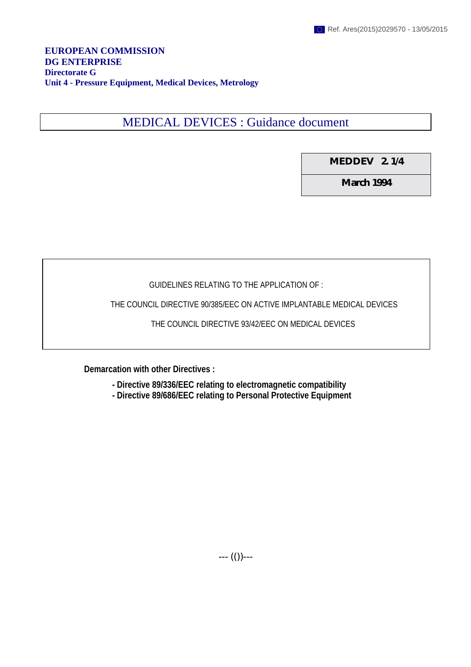MEDICAL DEVICES : Guidance document

**MEDDEV 2. 1/4**

**March 1994**

GUIDELINES RELATING TO THE APPLICATION OF :

THE COUNCIL DIRECTIVE 90/385/EEC ON ACTIVE IMPLANTABLE MEDICAL DEVICES

THE COUNCIL DIRECTIVE 93/42/EEC ON MEDICAL DEVICES

**Demarcation with other Directives :**

- **Directive 89/336/EEC relating to electromagnetic compatibility**
- **Directive 89/686/EEC relating to Personal Protective Equipment**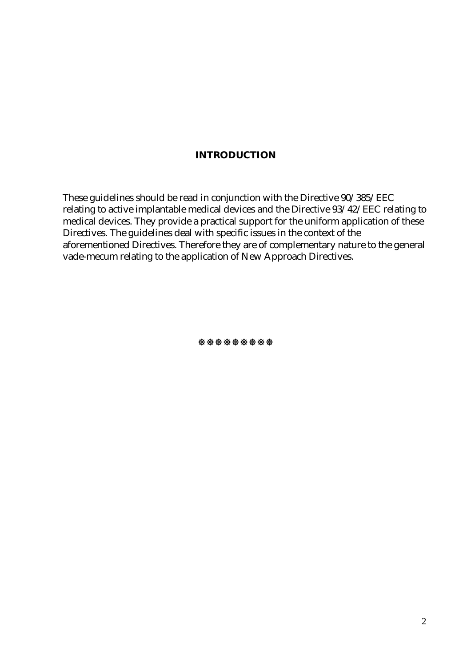## **INTRODUCTION**

These guidelines should be read in conjunction with the Directive 90/385/EEC relating to active implantable medical devices and the Directive 93/42/EEC relating to medical devices. They provide a practical support for the uniform application of these Directives. The guidelines deal with specific issues in the context of the aforementioned Directives. Therefore they are of complementary nature to the general vade-mecum relating to the application of New Approach Directives.

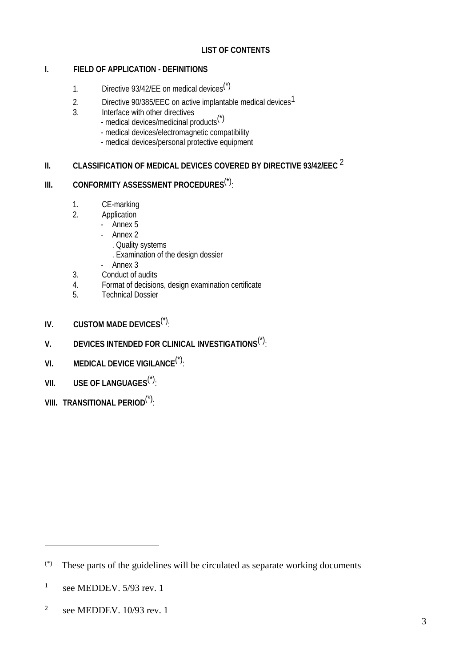## **I. FIELD OF APPLICATION - DEFINITIONS**

- 1. Directive 93/42/EE on medical devices<sup>(\*)</sup>
- 2. Directive 90/385/EEC on active implantable medical devices<sup>1</sup>
- 3. Interface with other directives
	- medical devices/medicinal products(\*)
		- medical devices/electromagnetic compatibility
		- medical devices/personal protective equipment

# **II. CLASSIFICATION OF MEDICAL DEVICES COVERED BY DIRECTIVE 93/42/EEC** 2

# **III. CONFORMITY ASSESSMENT PROCEDURES**(\*):

- 1. **CE-marking**<br>2 **Annlication**
- Application
	- $-$  Annex 5
	- Annex 2
		- . Quality systems
		- . Examination of the design dossier
	- Annex 3
- 3. Conduct of audits
- 4. Format of decisions, design examination certificate
- 5. Technical Dossier
- **IV. CUSTOM MADE DEVICES**(\*):
- **V. DEVICES INTENDED FOR CLINICAL INVESTIGATIONS**(\*):
- **VI. MEDICAL DEVICE VIGILANCE**(\*):
- **VII. USE OF LANGUAGES**(\*):
- **VIII. TRANSITIONAL PERIOD**(\*):

 $\overline{a}$ 

<sup>(\*)</sup> These parts of the guidelines will be circulated as separate working documents

<sup>&</sup>lt;sup>1</sup> see MEDDEV,  $5/93$  rev. 1

<sup>2</sup> see MEDDEV. 10/93 rev. 1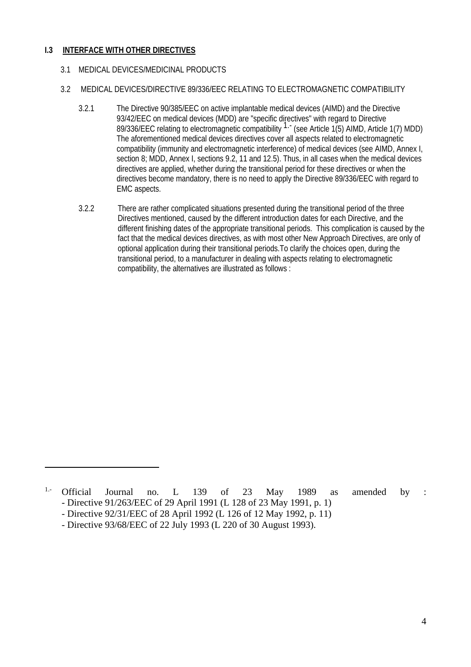#### **I.3 INTERFACE WITH OTHER DIRECTIVES**

#### 3.1 MEDICAL DEVICES/MEDICINAL PRODUCTS

#### 3.2 MEDICAL DEVICES/DIRECTIVE 89/336/EEC RELATING TO ELECTROMAGNETIC COMPATIBILITY

- 3.2.1 The Directive 90/385/EEC on active implantable medical devices (AIMD) and the Directive 93/42/EEC on medical devices (MDD) are "specific directives" with regard to Directive 89/336/EEC relating to electromagnetic compatibility <sup>1.-</sup> (see Article 1(5) AIMD, Article 1(7) MDD) The aforementioned medical devices directives cover all aspects related to electromagnetic compatibility (immunity and electromagnetic interference) of medical devices (see AIMD, Annex I, section 8; MDD, Annex I, sections 9.2, 11 and 12.5). Thus, in all cases when the medical devices directives are applied, whether during the transitional period for these directives or when the directives become mandatory, there is no need to apply the Directive 89/336/EEC with regard to EMC aspects.
- 3.2.2 There are rather complicated situations presented during the transitional period of the three Directives mentioned, caused by the different introduction dates for each Directive, and the different finishing dates of the appropriate transitional periods. This complication is caused by the fact that the medical devices directives, as with most other New Approach Directives, are only of optional application during their transitional periods.To clarify the choices open, during the transitional period, to a manufacturer in dealing with aspects relating to electromagnetic compatibility, the alternatives are illustrated as follows :

 $\overline{a}$ 

<sup>&</sup>lt;sup>1.</sup> Official Journal no. L 139 of 23 May 1989 as amended by : - Directive 91/263/EEC of 29 April 1991 (L 128 of 23 May 1991, p. 1)

<sup>-</sup> Directive 92/31/EEC of 28 April 1992 (L 126 of 12 May 1992, p. 11)

<sup>-</sup> Directive 93/68/EEC of 22 July 1993 (L 220 of 30 August 1993).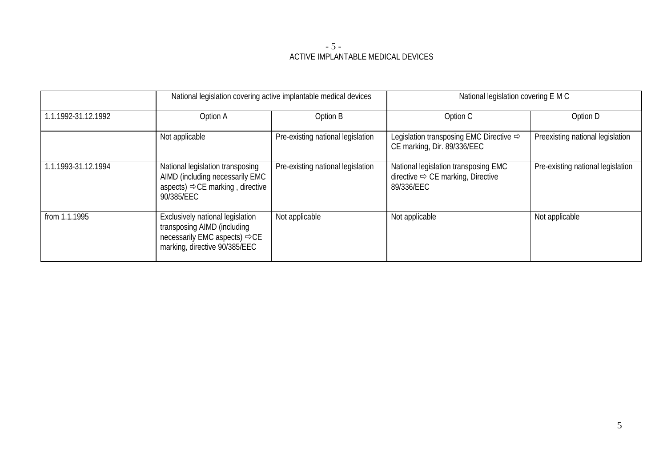## - 5 - ACTIVE IMPLANTABLE MEDICAL DEVICES

|                     | National legislation covering active implantable medical devices                                                                                  |                                   | National legislation covering E M C                                                                 |                                   |
|---------------------|---------------------------------------------------------------------------------------------------------------------------------------------------|-----------------------------------|-----------------------------------------------------------------------------------------------------|-----------------------------------|
| 1.1.1992-31.12.1992 | Option A                                                                                                                                          | Option B                          | Option C                                                                                            | Option D                          |
|                     | Not applicable                                                                                                                                    | Pre-existing national legislation | Legislation transposing EMC Directive $\Rightarrow$<br>CE marking, Dir. 89/336/EEC                  | Preexisting national legislation  |
| 1.1.1993-31.12.1994 | National legislation transposing<br>AIMD (including necessarily EMC<br>aspects) $\Leftrightarrow$ CE marking, directive<br>90/385/EEC             | Pre-existing national legislation | National legislation transposing EMC<br>directive $\Rightarrow$ CE marking, Directive<br>89/336/EEC | Pre-existing national legislation |
| from 1.1.1995       | Exclusively national legislation<br>transposing AIMD (including<br>necessarily EMC aspects) $\Leftrightarrow$ CE<br>marking, directive 90/385/EEC | Not applicable                    | Not applicable                                                                                      | Not applicable                    |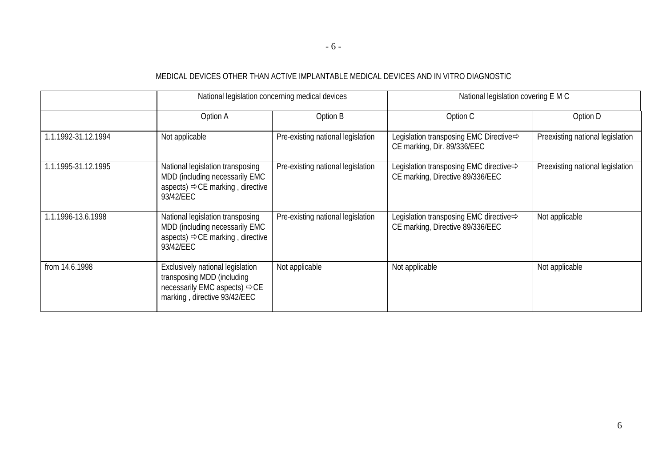## MEDICAL DEVICES OTHER THAN ACTIVE IMPLANTABLE MEDICAL DEVICES AND IN VITRO DIAGNOSTIC

|                     | National legislation concerning medical devices                                                                                             |                                   | National legislation covering E M C                                                     |                                  |
|---------------------|---------------------------------------------------------------------------------------------------------------------------------------------|-----------------------------------|-----------------------------------------------------------------------------------------|----------------------------------|
|                     | Option A                                                                                                                                    | Option B                          | Option C                                                                                | Option D                         |
| 1.1.1992-31.12.1994 | Not applicable                                                                                                                              | Pre-existing national legislation | Legislation transposing EMC Directive $\Rightarrow$<br>CE marking, Dir. 89/336/EEC      | Preexisting national legislation |
| 1.1.1995-31.12.1995 | National legislation transposing<br>MDD (including necessarily EMC<br>aspects) $\Rightarrow$ CE marking, directive<br>93/42/EEC             | Pre-existing national legislation | Legislation transposing EMC directive $\Rightarrow$<br>CE marking, Directive 89/336/EEC | Preexisting national legislation |
| 1.1.1996-13.6.1998  | National legislation transposing<br>MDD (including necessarily EMC<br>aspects) $\Rightarrow$ CE marking, directive<br>93/42/EEC             | Pre-existing national legislation | Legislation transposing EMC directive⇔<br>CE marking, Directive 89/336/EEC              | Not applicable                   |
| from 14.6.1998      | Exclusively national legislation<br>transposing MDD (including<br>necessarily EMC aspects) $\Rightarrow$ CE<br>marking, directive 93/42/EEC | Not applicable                    | Not applicable                                                                          | Not applicable                   |